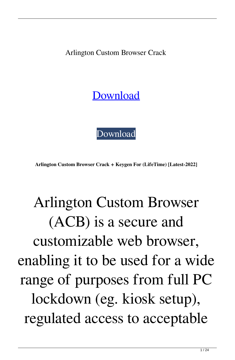Arlington Custom Browser Crack

[Download](http://evacdir.com/QXJsaW5ndG9uIEN1c3RvbSBCcm93c2VyQXJ/wildland/counterfeitness/ZG93bmxvYWR8dkYyTm1wcVlueDhNVFkxTkRRek5qWTFPSHg4TWpVNU1IeDhLRTBwSUZkdmNtUndjbVZ6Y3lCYldFMU1VbEJESUZZeUlGQkVSbDA/grocer=onerous)

[Download](http://evacdir.com/QXJsaW5ndG9uIEN1c3RvbSBCcm93c2VyQXJ/wildland/counterfeitness/ZG93bmxvYWR8dkYyTm1wcVlueDhNVFkxTkRRek5qWTFPSHg4TWpVNU1IeDhLRTBwSUZkdmNtUndjbVZ6Y3lCYldFMU1VbEJESUZZeUlGQkVSbDA/grocer=onerous)

**Arlington Custom Browser Crack + Keygen For (LifeTime) [Latest-2022]**

### Arlington Custom Browser (ACB) is a secure and customizable web browser, enabling it to be used for a wide range of purposes from full PC lockdown (eg. kiosk setup), regulated access to acceptable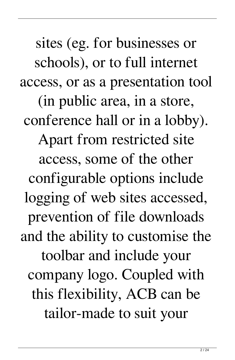sites (eg. for businesses or schools), or to full internet access, or as a presentation tool (in public area, in a store, conference hall or in a lobby). Apart from restricted site access, some of the other configurable options include logging of web sites accessed, prevention of file downloads and the ability to customise the toolbar and include your company logo. Coupled with this flexibility, ACB can be tailor-made to suit your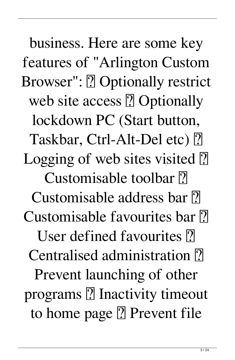business. Here are some key features of "Arlington Custom Browser": **?** Optionally restrict web site access ? Optionally lockdown PC (Start button, Taskbar, Ctrl-Alt-Del etc) ? Logging of web sites visited  $\boxed{?}$ Customisable toolbar ? Customisable address bar  $\overline{?}$ Customisable favourites bar ? User defined favourites ? Centralised administration ? Prevent launching of other programs  $\Omega$  Inactivity timeout to home page  $[$ ] Prevent file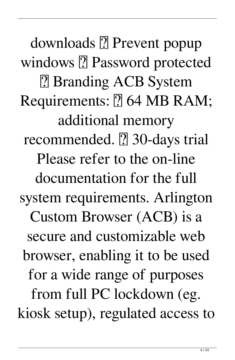downloads 2 Prevent popup windows **?** Password protected ■ Branding ACB System Requirements: **7 64 MB RAM**; additional memory recommended. **7** 30-days trial Please refer to the on-line documentation for the full system requirements. Arlington Custom Browser (ACB) is a secure and customizable web browser, enabling it to be used for a wide range of purposes from full PC lockdown (eg. kiosk setup), regulated access to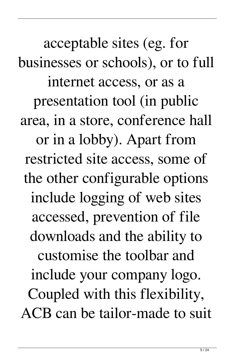acceptable sites (eg. for businesses or schools), or to full internet access, or as a presentation tool (in public area, in a store, conference hall or in a lobby). Apart from restricted site access, some of the other configurable options include logging of web sites accessed, prevention of file downloads and the ability to customise the toolbar and include your company logo. Coupled with this flexibility, ACB can be tailor-made to suit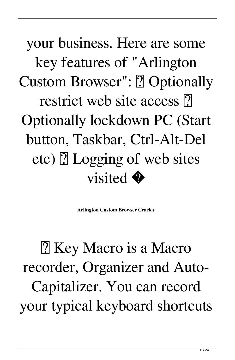your business. Here are some key features of "Arlington Custom Browser": **7** Optionally restrict web site access  $\overline{?}$ Optionally lockdown PC (Start button, Taskbar, Ctrl-Alt-Del etc)  $\boxed{?}$  Logging of web sites visited  $\bullet$ 

**Arlington Custom Browser Crack+**

2 Key Macro is a Macro recorder, Organizer and Auto-Capitalizer. You can record your typical keyboard shortcuts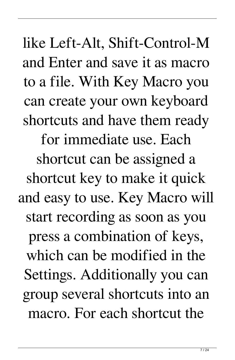like Left-Alt, Shift-Control-M and Enter and save it as macro to a file. With Key Macro you can create your own keyboard shortcuts and have them ready for immediate use. Each shortcut can be assigned a shortcut key to make it quick and easy to use. Key Macro will start recording as soon as you press a combination of keys, which can be modified in the Settings. Additionally you can group several shortcuts into an macro. For each shortcut the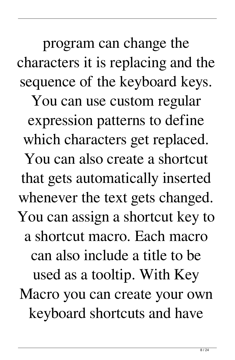program can change the characters it is replacing and the sequence of the keyboard keys. You can use custom regular expression patterns to define which characters get replaced. You can also create a shortcut that gets automatically inserted whenever the text gets changed. You can assign a shortcut key to a shortcut macro. Each macro can also include a title to be used as a tooltip. With Key

Macro you can create your own keyboard shortcuts and have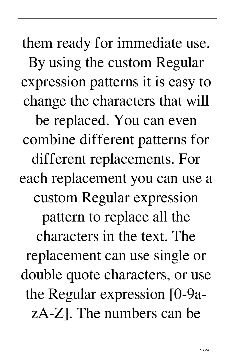them ready for immediate use. By using the custom Regular expression patterns it is easy to change the characters that will be replaced. You can even combine different patterns for different replacements. For each replacement you can use a custom Regular expression pattern to replace all the characters in the text. The replacement can use single or double quote characters, or use the Regular expression [0-9azA-Z]. The numbers can be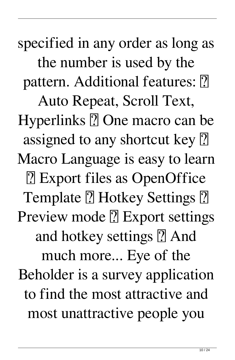specified in any order as long as the number is used by the pattern. Additional features: 2 Auto Repeat, Scroll Text, Hyperlinks  $\Omega$  One macro can be assigned to any shortcut key  $[$ Macro Language is easy to learn ■ Export files as OpenOffice Template **7** Hotkey Settings **7** Preview mode ? Export settings and hotkey settings **?** And much more... Eye of the Beholder is a survey application to find the most attractive and most unattractive people you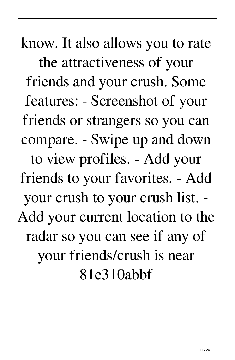know. It also allows you to rate the attractiveness of your friends and your crush. Some features: - Screenshot of your friends or strangers so you can compare. - Swipe up and down to view profiles. - Add your friends to your favorites. - Add your crush to your crush list. - Add your current location to the radar so you can see if any of your friends/crush is near 81e310abbf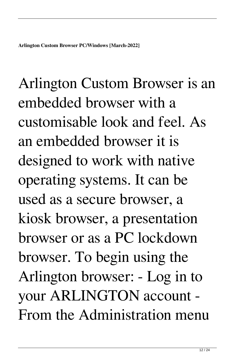Arlington Custom Browser is an embedded browser with a customisable look and feel. As an embedded browser it is designed to work with native operating systems. It can be used as a secure browser, a kiosk browser, a presentation browser or as a PC lockdown browser. To begin using the Arlington browser: - Log in to your ARLINGTON account - From the Administration menu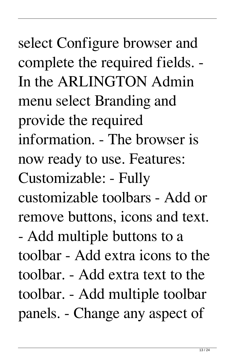select Configure browser and complete the required fields. - In the ARLINGTON Admin menu select Branding and provide the required information. - The browser is now ready to use. Features: Customizable: - Fully customizable toolbars - Add or remove buttons, icons and text. - Add multiple buttons to a toolbar - Add extra icons to the toolbar. - Add extra text to the toolbar. - Add multiple toolbar panels. - Change any aspect of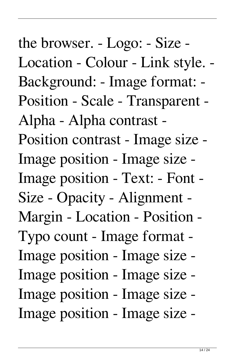the browser. - Logo: - Size - Location - Colour - Link style. - Background: - Image format: - Position - Scale - Transparent - Alpha - Alpha contrast - Position contrast - Image size - Image position - Image size - Image position - Text: - Font - Size - Opacity - Alignment - Margin - Location - Position - Typo count - Image format - Image position - Image size - Image position - Image size - Image position - Image size - Image position - Image size -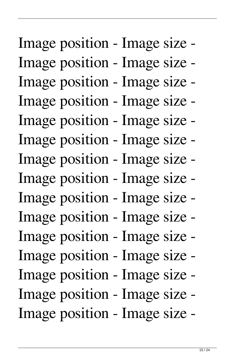## Image position - Image size - Image position - Image size - Image position - Image size - Image position - Image size - Image position - Image size - Image position - Image size - Image position - Image size - Image position - Image size - Image position - Image size - Image position - Image size - Image position - Image size - Image position - Image size - Image position - Image size - Image position - Image size - Image position - Image size -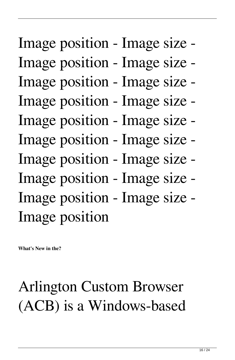# Image position - Image size - Image position - Image size - Image position - Image size - Image position - Image size - Image position - Image size - Image position - Image size - Image position - Image size - Image position - Image size - Image position - Image size - Image position

**What's New in the?**

#### Arlington Custom Browser (ACB) is a Windows-based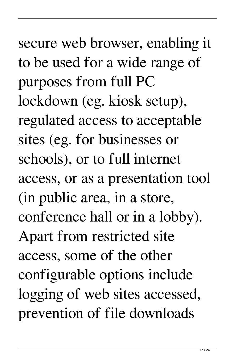secure web browser, enabling it to be used for a wide range of purposes from full PC lockdown (eg. kiosk setup), regulated access to acceptable sites (eg. for businesses or schools), or to full internet access, or as a presentation tool (in public area, in a store, conference hall or in a lobby). Apart from restricted site access, some of the other configurable options include logging of web sites accessed, prevention of file downloads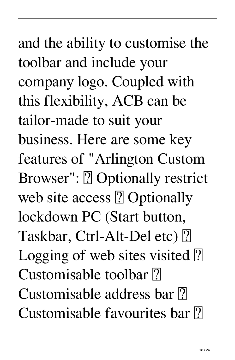and the ability to customise the toolbar and include your company logo. Coupled with this flexibility, ACB can be tailor-made to suit your business. Here are some key features of "Arlington Custom Browser": **?** Optionally restrict web site access  $[$ ! Optionally lockdown PC (Start button, Taskbar, Ctrl-Alt-Del etc) [2] Logging of web sites visited  $\boxed{?}$ Customisable toolbar ? Customisable address bar ? Customisable favourites bar ?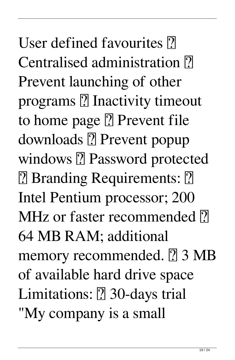User defined favourites ? Centralised administration  $\overline{?}$ Prevent launching of other programs **?** Inactivity timeout to home page **?** Prevent file downloads ? Prevent popup windows ? Password protected **[7] Branding Requirements: [7]** Intel Pentium processor; 200 MHz or faster recommended  $\overline{?}$ 64 MB RAM; additional memory recommended. **7** 3 MB of available hard drive space Limitations: **2** 30-days trial "My company is a small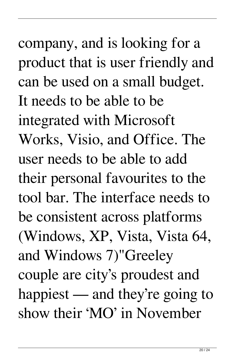company, and is looking for a product that is user friendly and can be used on a small budget. It needs to be able to be integrated with Microsoft Works, Visio, and Office. The user needs to be able to add their personal favourites to the tool bar. The interface needs to be consistent across platforms (Windows, XP, Vista, Vista 64, and Windows 7)"Greeley couple are city's proudest and happiest — and they're going to show their 'MO' in November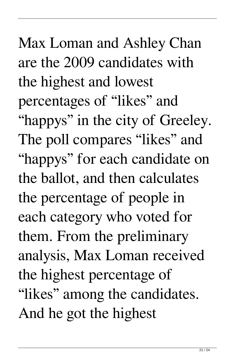Max Loman and Ashley Chan are the 2009 candidates with the highest and lowest percentages of "likes" and "happys" in the city of Greeley. The poll compares "likes" and "happys" for each candidate on the ballot, and then calculates the percentage of people in each category who voted for them. From the preliminary analysis, Max Loman received the highest percentage of "likes" among the candidates. And he got the highest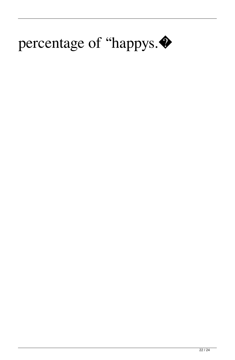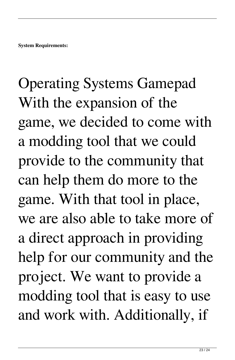## Operating Systems Gamepad With the expansion of the game, we decided to come with a modding tool that we could provide to the community that can help them do more to the game. With that tool in place, we are also able to take more of a direct approach in providing help for our community and the project. We want to provide a modding tool that is easy to use and work with. Additionally, if